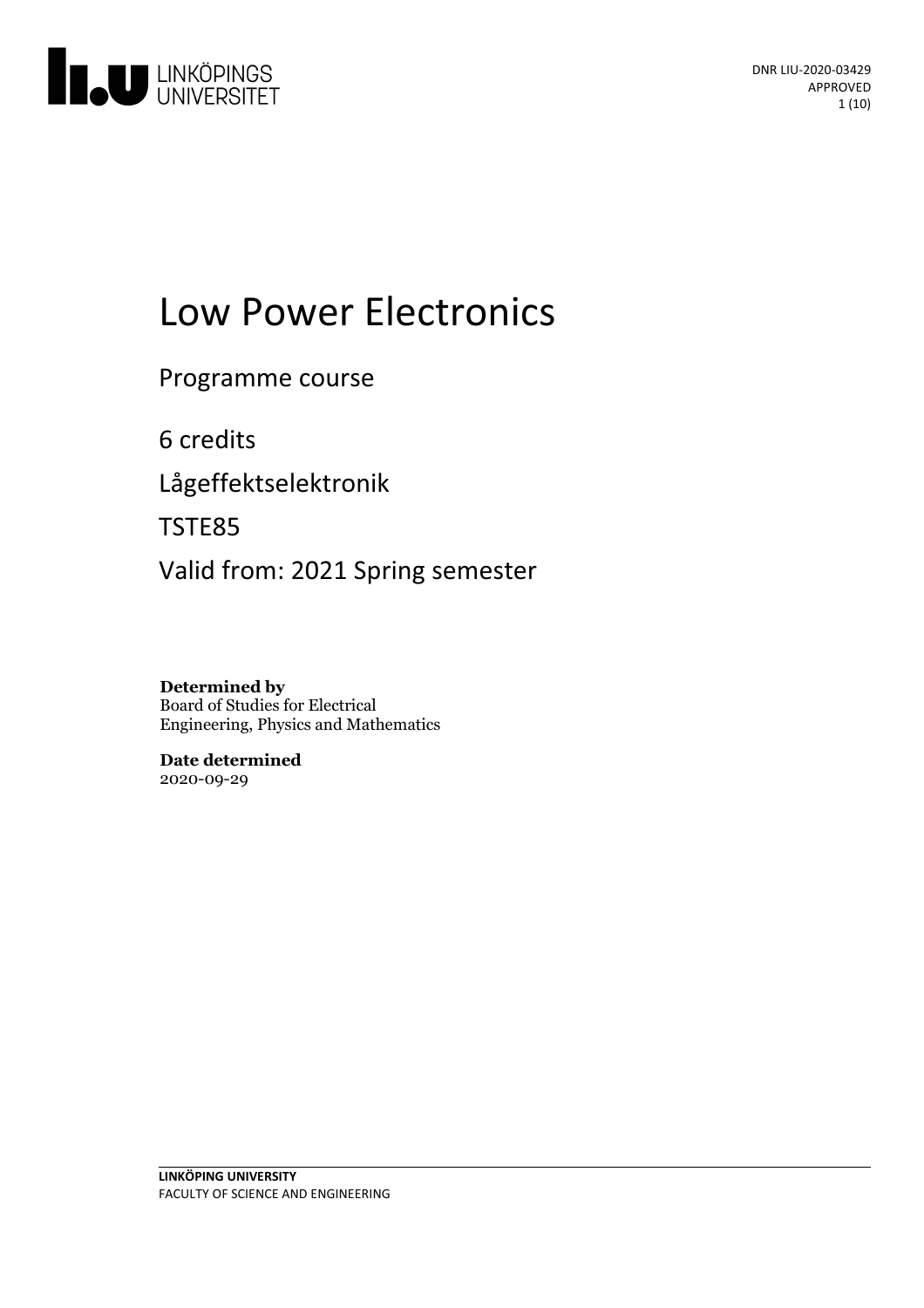

# Low Power Electronics

Programme course

6 credits

Lågeffektselektronik

TSTE85

Valid from: 2021 Spring semester

**Determined by** Board of Studies for Electrical Engineering, Physics and Mathematics

**Date determined** 2020-09-29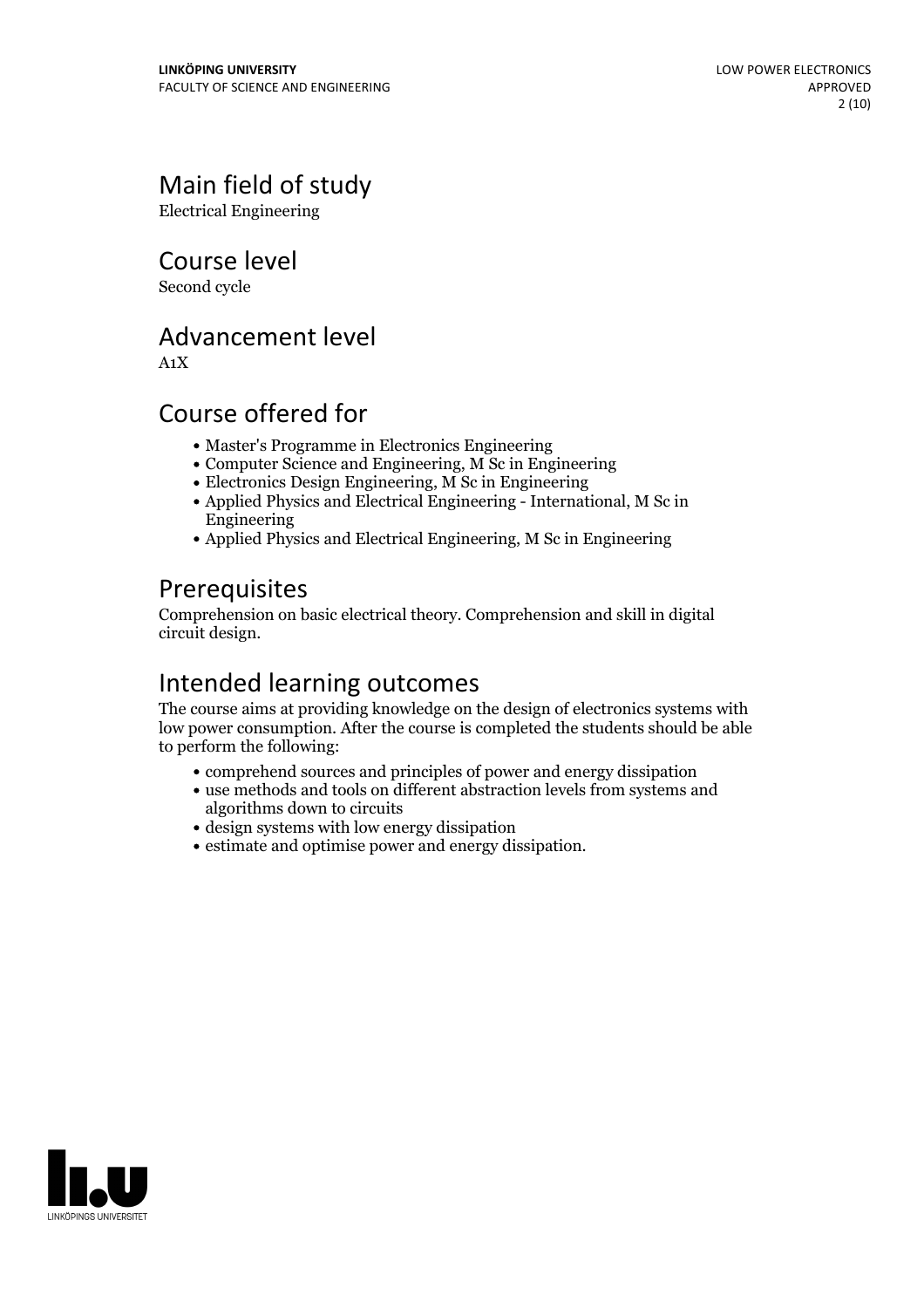# Main field of study

Electrical Engineering

Course level

Second cycle

# Advancement level

A1X

# Course offered for

- Master's Programme in Electronics Engineering
- Computer Science and Engineering, M Sc in Engineering
- Electronics Design Engineering, M Sc in Engineering
- Applied Physics and Electrical Engineering International, M Sc in Engineering
- Applied Physics and Electrical Engineering, M Sc in Engineering

# **Prerequisites**

Comprehension on basic electrical theory. Comprehension and skill in digital circuit design.

# Intended learning outcomes

The course aims at providing knowledge on the design of electronics systems with low power consumption. After the course is completed the students should be able to perform the following:

- comprehend sources and principles of power and energy dissipation
- use methods and tools on different abstraction levels from systems and algorithms down to circuits
- design systems with low energy dissipation
- estimate and optimise power and energy dissipation.

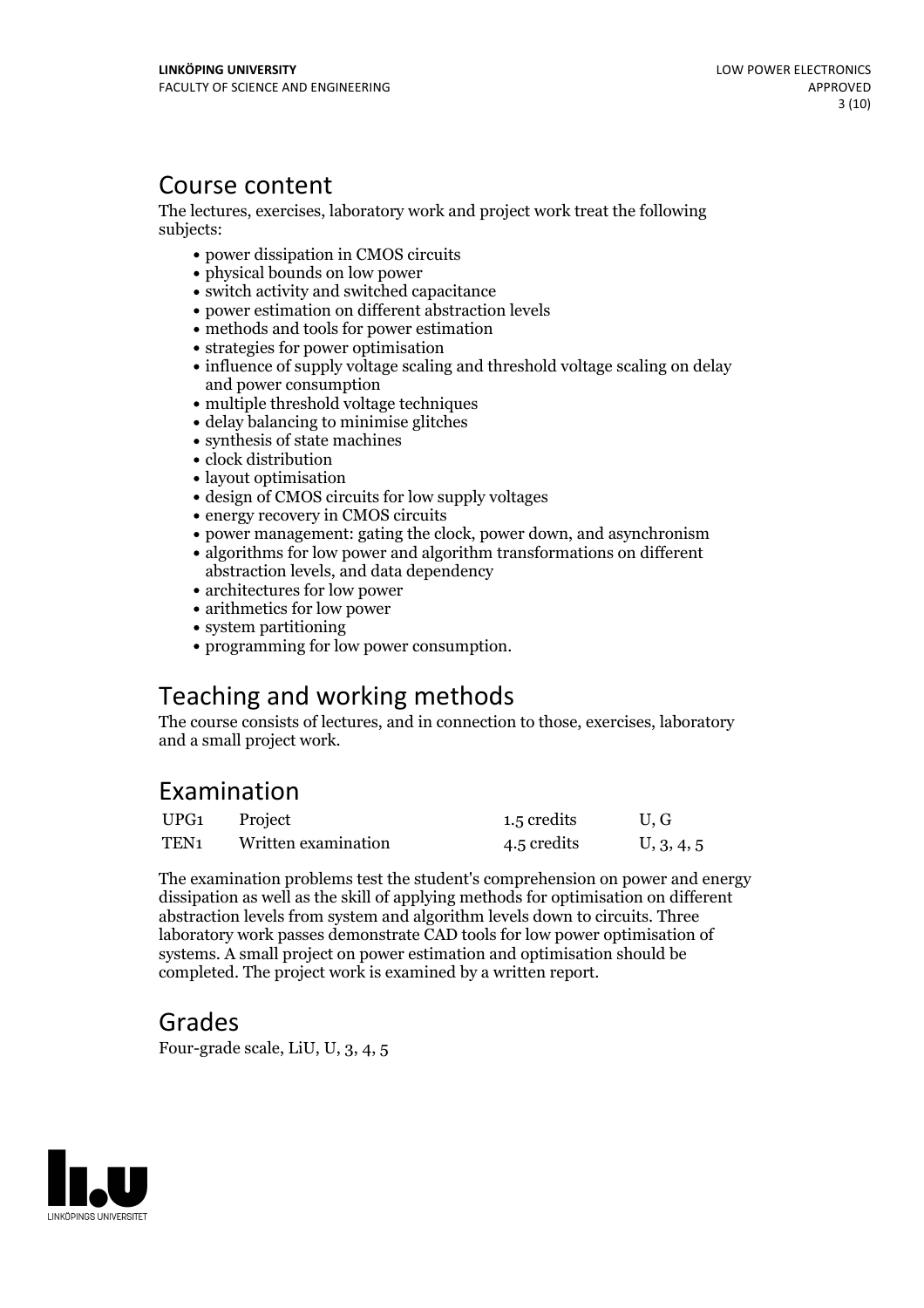# Course content

The lectures, exercises, laboratory work and project work treat the following subjects:

- power dissipation in CMOS circuits
- physical bounds on low power
- switch activity and switched capacitance
- power estimation on different abstraction levels
- methods and tools for power estimation
- strategies for power optimisation
- influence of supply voltage scaling and threshold voltage scaling on delay and power consumption
- multiple threshold voltage techniques
- delay balancing to minimise glitches
- synthesis of state machines
- clock distribution
- layout optimisation
- design of CMOS circuits for low supply voltages
- energy recovery in CMOS circuits
- power management: gating the clock, power down, and asynchronism
- algorithms for low power and algorithm transformations on different abstraction levels, and data dependency
- architectures for low power
- arithmetics for low power
- system partitioning
- programming for low power consumption.

# Teaching and working methods

The course consists of lectures, and in connection to those, exercises, laboratory and a small project work.

# Examination

| UPG1             | Project             | 1.5 credits | U.G        |
|------------------|---------------------|-------------|------------|
| TEN <sub>1</sub> | Written examination | 4.5 credits | U, 3, 4, 5 |

The examination problems test the student's comprehension on power and energy dissipation aswell as the skill of applying methods for optimisation on different abstraction levels from system and algorithm levels down to circuits. Three laboratory work passes demonstrate CAD tools for low power optimisation of systems. A small project on power estimation and optimisation should be completed. The project work is examined by a written report.

## Grades

Four-grade scale, LiU, U, 3, 4, 5

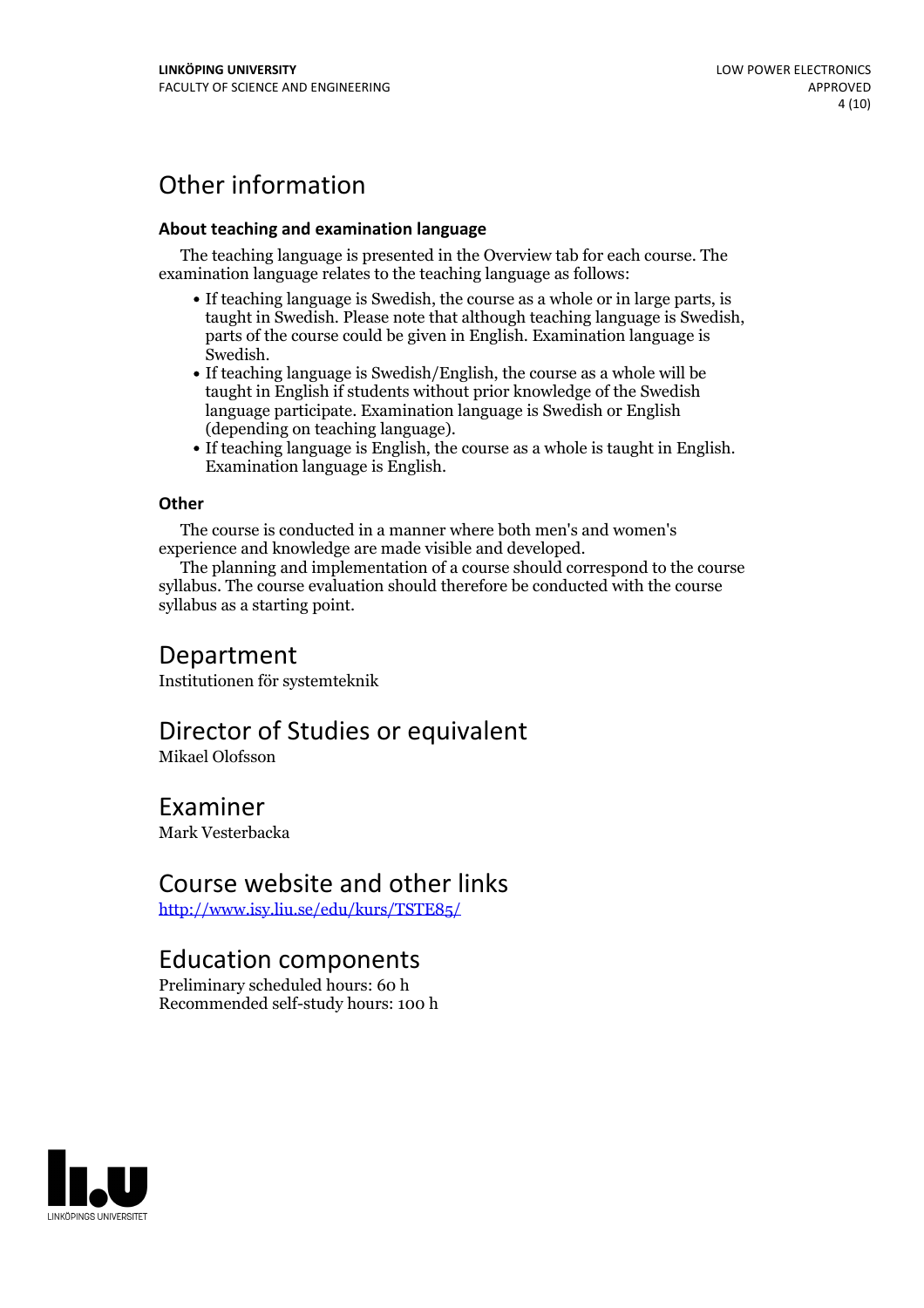# Other information

#### **About teaching and examination language**

The teaching language is presented in the Overview tab for each course. The examination language relates to the teaching language as follows:

- If teaching language is Swedish, the course as a whole or in large parts, is taught in Swedish. Please note that although teaching language is Swedish, parts of the course could be given in English. Examination language is
- Swedish.<br>• If teaching language is Swedish/English, the course as a whole will be taught in English if students without prior knowledge of the Swedish language participate. Examination language is Swedish or English
- (depending on teaching language).<br>
 If teaching language is English, the course as a whole is taught in English.<br>
Examination language is English.

#### **Other**

The course is conducted in a manner where both men's and women's

experience and knowledge are made visible and developed. The planning and implementation of <sup>a</sup> course should correspond to the course syllabus. The course evaluation should therefore be conducted with the course syllabus as a starting point.

### Department

Institutionen för systemteknik

## Director of Studies or equivalent

Mikael Olofsson

### Examiner

Mark Vesterbacka

### Course website and other links

<http://www.isy.liu.se/edu/kurs/TSTE85/>

### Education components

Preliminary scheduled hours: 60 h Recommended self-study hours: 100 h

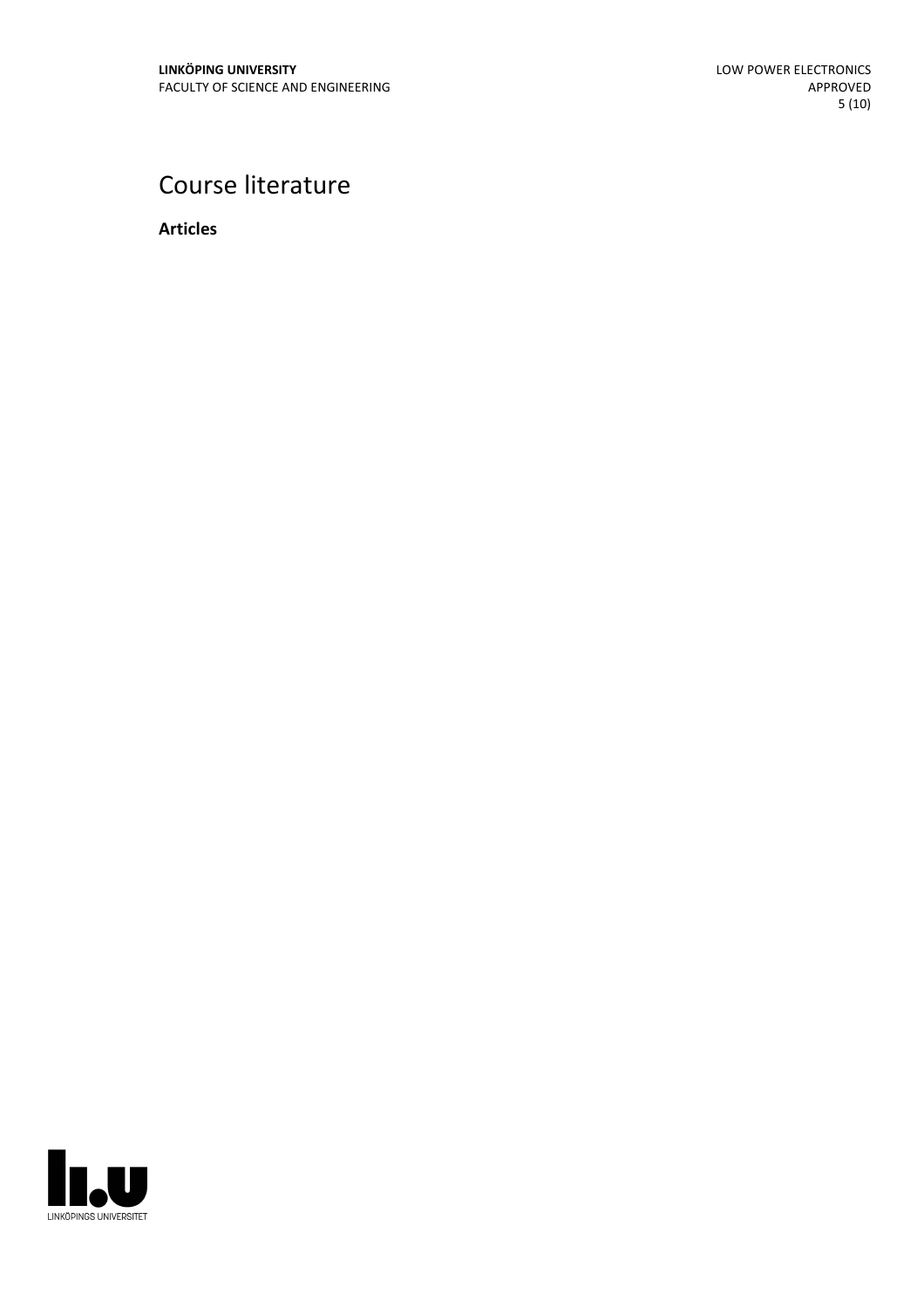# Course literature

**Articles**

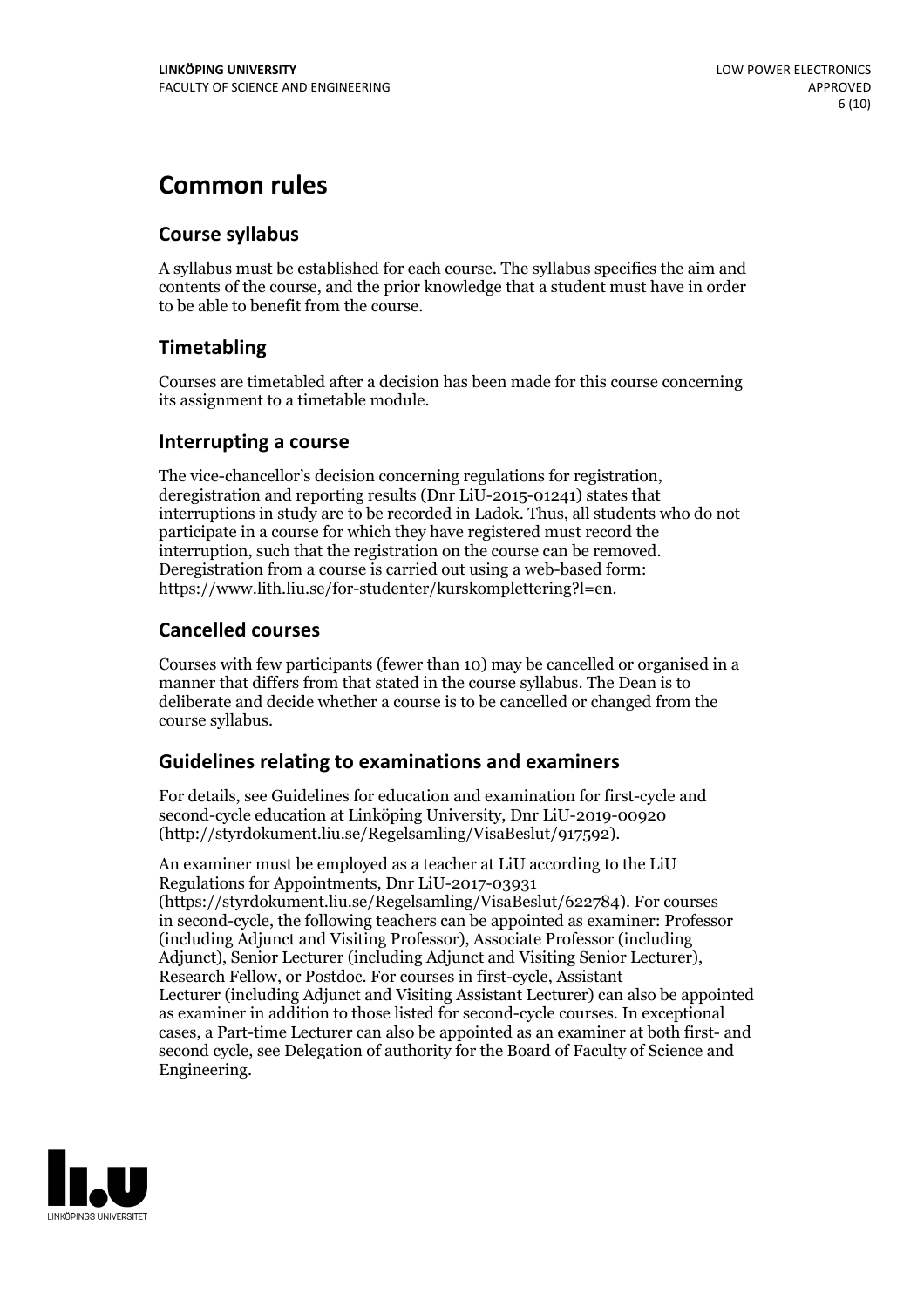# **Common rules**

### **Course syllabus**

A syllabus must be established for each course. The syllabus specifies the aim and contents of the course, and the prior knowledge that a student must have in order to be able to benefit from the course.

### **Timetabling**

Courses are timetabled after a decision has been made for this course concerning its assignment to a timetable module.

### **Interrupting a course**

The vice-chancellor's decision concerning regulations for registration, deregistration and reporting results (Dnr LiU-2015-01241) states that interruptions in study are to be recorded in Ladok. Thus, all students who do not participate in a course for which they have registered must record the interruption, such that the registration on the course can be removed. Deregistration from <sup>a</sup> course is carried outusing <sup>a</sup> web-based form: https://www.lith.liu.se/for-studenter/kurskomplettering?l=en.

### **Cancelled courses**

Courses with few participants (fewer than 10) may be cancelled or organised in a manner that differs from that stated in the course syllabus. The Dean is to deliberate and decide whether a course is to be cancelled or changed from the course syllabus.

### **Guidelines relatingto examinations and examiners**

For details, see Guidelines for education and examination for first-cycle and second-cycle education at Linköping University, Dnr LiU-2019-00920 (http://styrdokument.liu.se/Regelsamling/VisaBeslut/917592).

An examiner must be employed as a teacher at LiU according to the LiU Regulations for Appointments, Dnr LiU-2017-03931 (https://styrdokument.liu.se/Regelsamling/VisaBeslut/622784). For courses in second-cycle, the following teachers can be appointed as examiner: Professor (including Adjunct and Visiting Professor), Associate Professor (including Adjunct), Senior Lecturer (including Adjunct and Visiting Senior Lecturer), Research Fellow, or Postdoc. For courses in first-cycle, Assistant Lecturer (including Adjunct and Visiting Assistant Lecturer) can also be appointed as examiner in addition to those listed for second-cycle courses. In exceptional cases, a Part-time Lecturer can also be appointed as an examiner at both first- and second cycle, see Delegation of authority for the Board of Faculty of Science and Engineering.

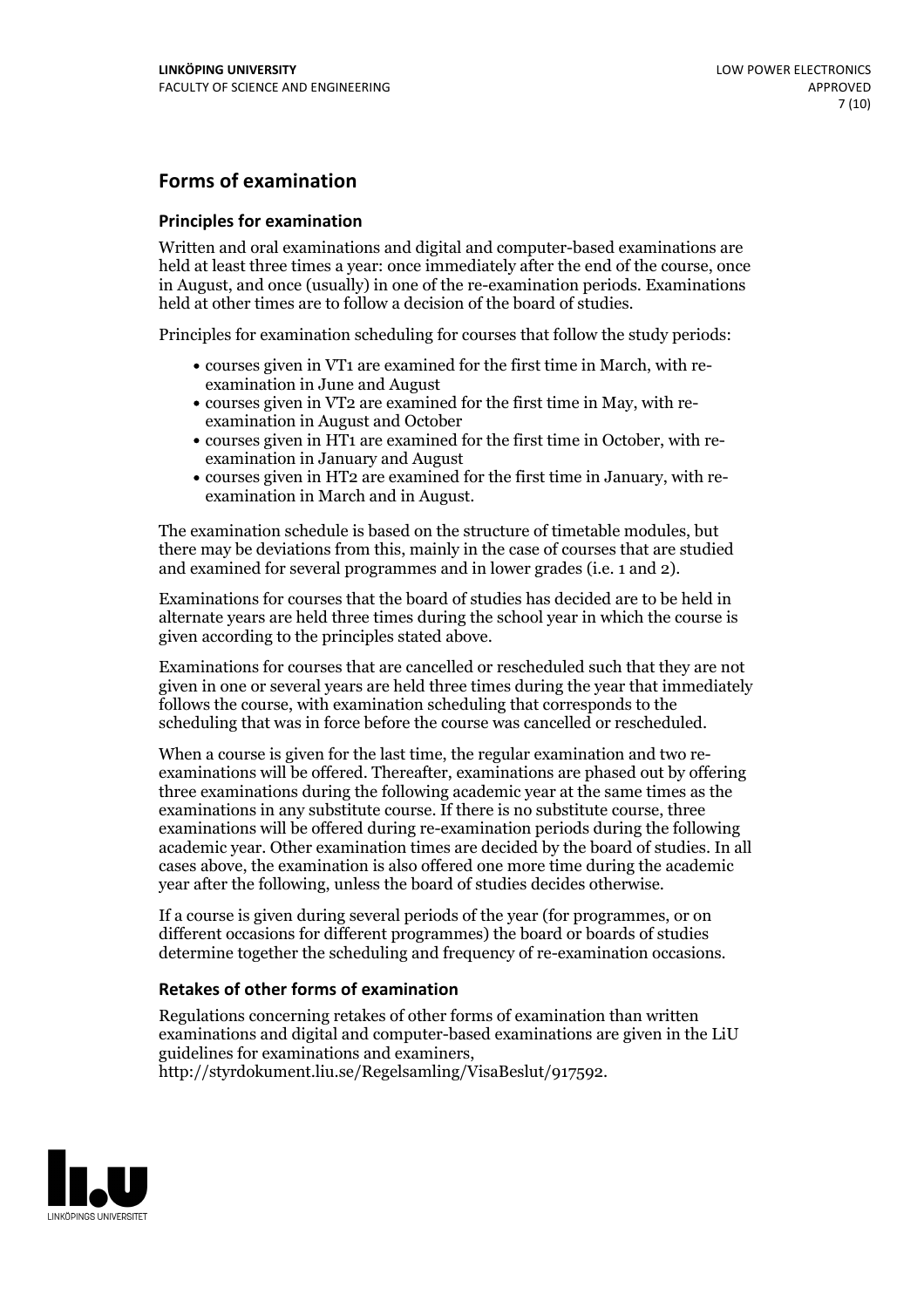### **Forms of examination**

#### **Principles for examination**

Written and oral examinations and digital and computer-based examinations are held at least three times a year: once immediately after the end of the course, once in August, and once (usually) in one of the re-examination periods. Examinations held at other times are to follow a decision of the board of studies.

Principles for examination scheduling for courses that follow the study periods:

- courses given in VT1 are examined for the first time in March, with re-examination in June and August
- courses given in VT2 are examined for the first time in May, with re-examination in August and October
- courses given in HT1 are examined for the first time in October, with re-examination in January and August
- courses given in HT2 are examined for the first time in January, with re-examination in March and in August.

The examination schedule is based on the structure of timetable modules, but there may be deviations from this, mainly in the case of courses that are studied and examined for several programmes and in lower grades (i.e. 1 and 2).

Examinations for courses that the board of studies has decided are to be held in alternate years are held three times during the school year in which the course is given according to the principles stated above.

Examinations for courses that are cancelled orrescheduled such that they are not given in one or several years are held three times during the year that immediately follows the course, with examination scheduling that corresponds to the scheduling that was in force before the course was cancelled or rescheduled.

When a course is given for the last time, the regular examination and two re-<br>examinations will be offered. Thereafter, examinations are phased out by offering three examinations during the following academic year at the same times as the examinations in any substitute course. If there is no substitute course, three examinations will be offered during re-examination periods during the following academic year. Other examination times are decided by the board of studies. In all cases above, the examination is also offered one more time during the academic year after the following, unless the board of studies decides otherwise.

If a course is given during several periods of the year (for programmes, or on different occasions for different programmes) the board or boards of studies determine together the scheduling and frequency of re-examination occasions.

### **Retakes of other forms of examination**

Regulations concerning retakes of other forms of examination than written examinations and digital and computer-based examinations are given in the LiU guidelines for examinations and examiners, http://styrdokument.liu.se/Regelsamling/VisaBeslut/917592.

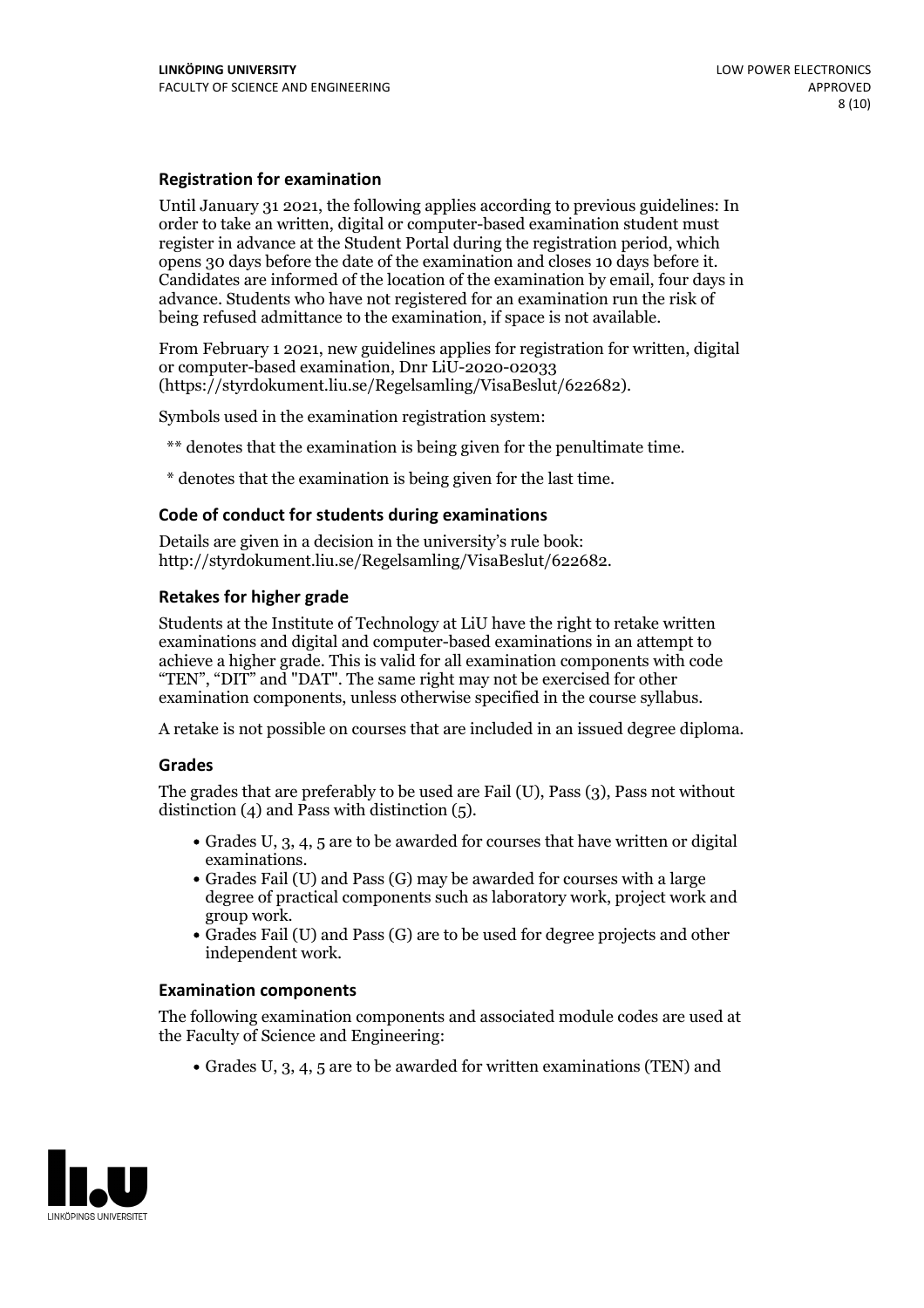#### **Registration for examination**

Until January 31 2021, the following applies according to previous guidelines: In order to take an written, digital or computer-based examination student must register in advance at the Student Portal during the registration period, which Candidates are informed of the location of the examination by email, four days in advance. Students who have not registered for an examination run the risk of being refused admittance to the examination, if space is not available.

From February 1 2021, new guidelines applies for registration for written, digital or computer-based examination, Dnr LiU-2020-02033 (https://styrdokument.liu.se/Regelsamling/VisaBeslut/622682).

Symbols used in the examination registration system:

\*\* denotes that the examination is being given for the penultimate time.

\* denotes that the examination is being given for the last time.

#### **Code of conduct for students during examinations**

Details are given in a decision in the university's rule book: http://styrdokument.liu.se/Regelsamling/VisaBeslut/622682.

#### **Retakes for higher grade**

Students at the Institute of Technology at LiU have the right to retake written examinations and digital and computer-based examinations in an attempt to achieve a higher grade. This is valid for all examination components with code "TEN", "DIT" and "DAT". The same right may not be exercised for other examination components, unless otherwise specified in the course syllabus.

A retake is not possible on courses that are included in an issued degree diploma.

#### **Grades**

The grades that are preferably to be used are Fail (U), Pass (3), Pass not without distinction  $(4)$  and Pass with distinction  $(5)$ .

- Grades U, 3, 4, 5 are to be awarded for courses that have written or digital examinations.<br>• Grades Fail (U) and Pass (G) may be awarded for courses with a large
- degree of practical components such as laboratory work, project work and
- $\bullet$  Grades Fail (U) and Pass (G) are to be used for degree projects and other independent work.

#### **Examination components**

The following examination components and associated module codes are used at the Faculty of Science and Engineering:

Grades U, 3, 4, 5 are to be awarded for written examinations (TEN) and

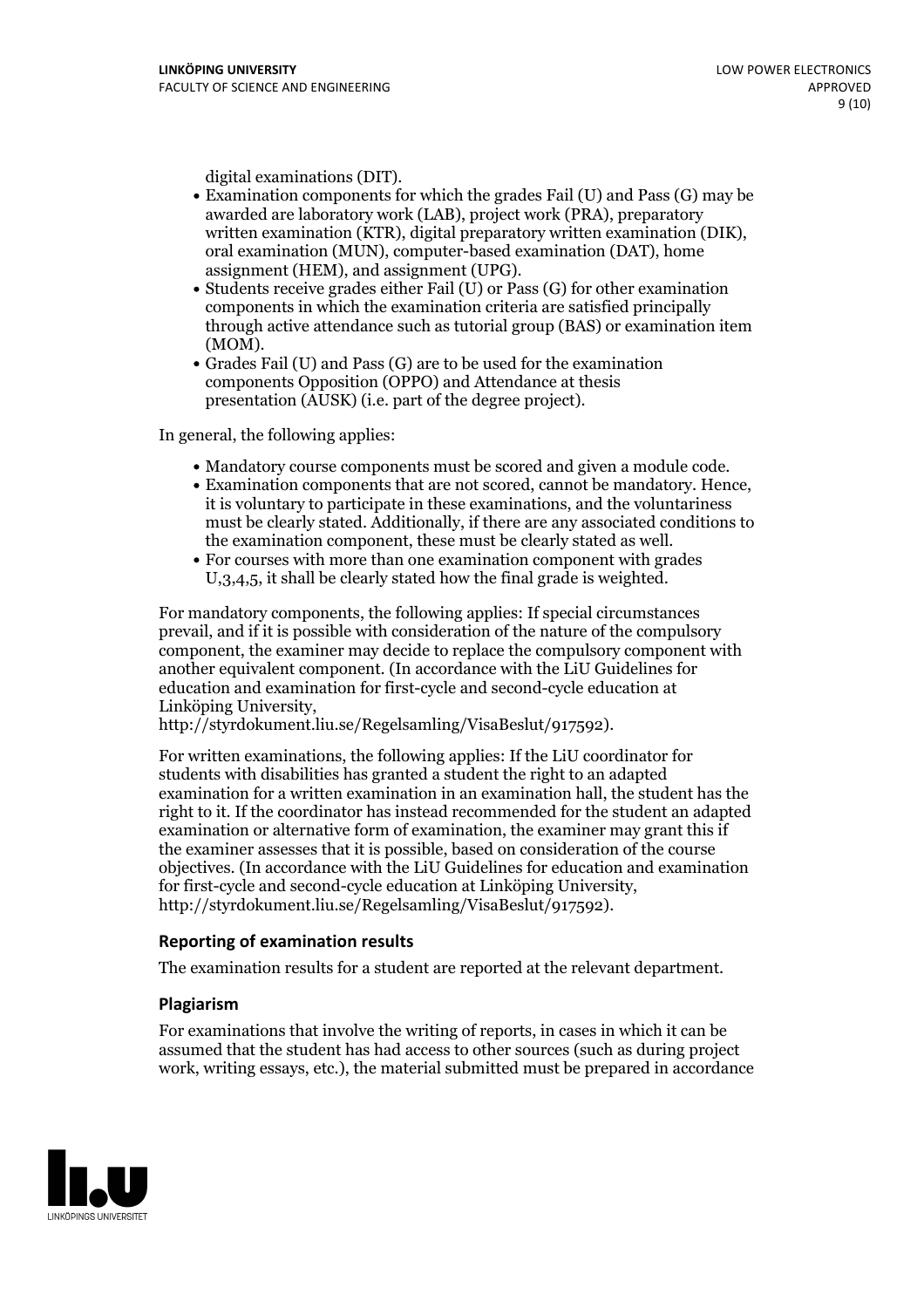- digital examinations (DIT).<br>• Examination components for which the grades Fail (U) and Pass (G) may be awarded are laboratory work (LAB), project work (PRA), preparatory written examination (KTR), digital preparatory written examination (DIK), oral examination (MUN), computer-based examination (DAT), home
- assignment (HEM), and assignment (UPG).<br>• Students receive grades either Fail (U) or Pass (G) for other examination components in which the examination criteria are satisfied principally through active attendance such as tutorial group (BAS) or examination item
- (MOM).<br>• Grades Fail (U) and Pass (G) are to be used for the examination components Opposition (OPPO) and Attendance at thesis presentation (AUSK) (i.e. part of the degree project).

In general, the following applies:

- 
- Mandatory course components must be scored and given <sup>a</sup> module code. Examination components that are not scored, cannot be mandatory. Hence, it is voluntary to participate in these examinations, and the voluntariness must be clearly stated. Additionally, if there are any associated conditions to the examination component, these must be clearly stated as well.<br>• For courses with more than one examination component with grades
- U,3,4,5, it shall be clearly stated how the final grade is weighted.

For mandatory components, the following applies: If special circumstances prevail, and if it is possible with consideration of the nature ofthe compulsory component, the examiner may decide to replace the compulsory component with another equivalent component. (In accordance with the LiU Guidelines for education and examination for first-cycle and second-cycle education at Linköping University, http://styrdokument.liu.se/Regelsamling/VisaBeslut/917592).

For written examinations, the following applies: If the LiU coordinator for students with disabilities has granted a student the right to an adapted examination for a written examination in an examination hall, the student has the right to it. If the coordinator has instead recommended for the student an adapted examination or alternative form of examination, the examiner may grant this if the examiner assesses that it is possible, based on consideration of the course objectives. (In accordance with the LiU Guidelines for education and examination for first-cycle and second-cycle education at Linköping University, http://styrdokument.liu.se/Regelsamling/VisaBeslut/917592).

#### **Reporting of examination results**

The examination results for a student are reported at the relevant department.

#### **Plagiarism**

For examinations that involve the writing of reports, in cases in which it can be assumed that the student has had access to other sources (such as during project work, writing essays, etc.), the material submitted must be prepared in accordance